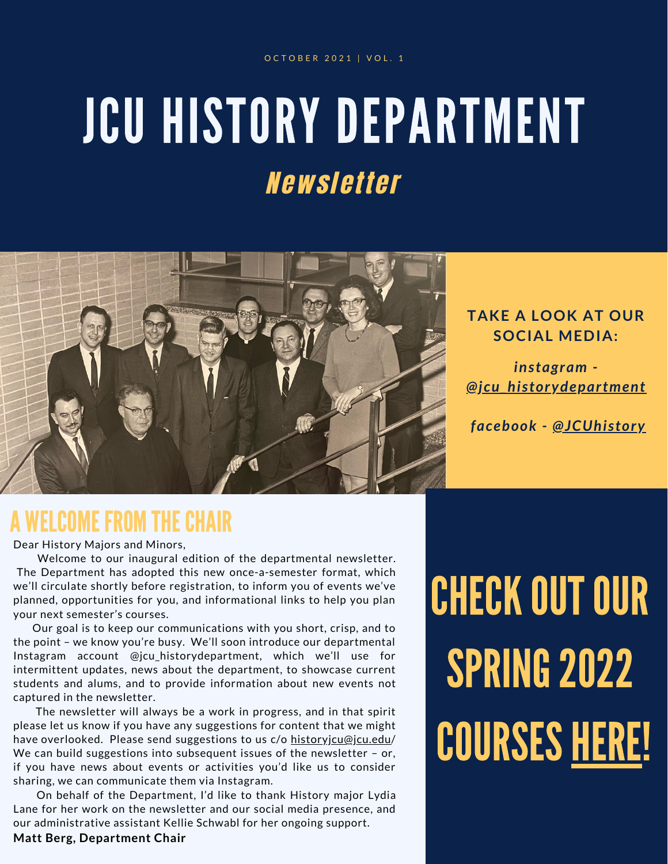# JCU HISTORY DEPARTMENT Newsletter



### **TAKE A LOOK AT OUR SOCIAL MEDIA:**

*instagram - [@jcu\\_historydepartment](https://www.instagram.com/jcu_historydepartment/)*

*facebook - [@JCUhistory](https://www.facebook.com/JCUhistory)*

## A WELCOME FROM THECHAIR

Dear History Majors and Minors,

Welcome to our inaugural edition of the departmental newsletter. The Department has adopted this new once-a-semester format, which we'll circulate shortly before registration, to inform you of events we've planned, opportunities for you, and informational links to help you plan your next semester's courses.

Our goal is to keep our communications with you short, crisp, and to the point – we know you're busy. We'll soon introduce our departmental Instagram account @jcu\_historydepartment, which we'll use for intermittent updates, news about the department, to showcase current students and alums, and to provide information about new events not captured in the newsletter.

The newsletter will always be a work in progress, and in that spirit please let us know if you have any suggestions for content that we might have overlooked. Please send suggestions to us c/o [historyjcu@jcu.edu/](mailto:historyjcu@jcu.edu) We can build suggestions into subsequent issues of the newsletter  $-$  or, if you have news about events or activities you'd like us to consider sharing, we can communicate them via Instagram.

On behalf of the Department, I'd like to thank History major Lydia Lane for her work on the newsletter and our social media presence, and our administrative assistant Kellie Schwabl for her ongoing support.

#### **Matt Berg, Department Chair**

**CHECK OUT OUR SPRING 2022 COURSES [HERE](https://docs.google.com/document/d/1D_x0zxoCeA50eu66XLi5NnTCUQd2FjUfZr7CE3IjZjs/edit)!**